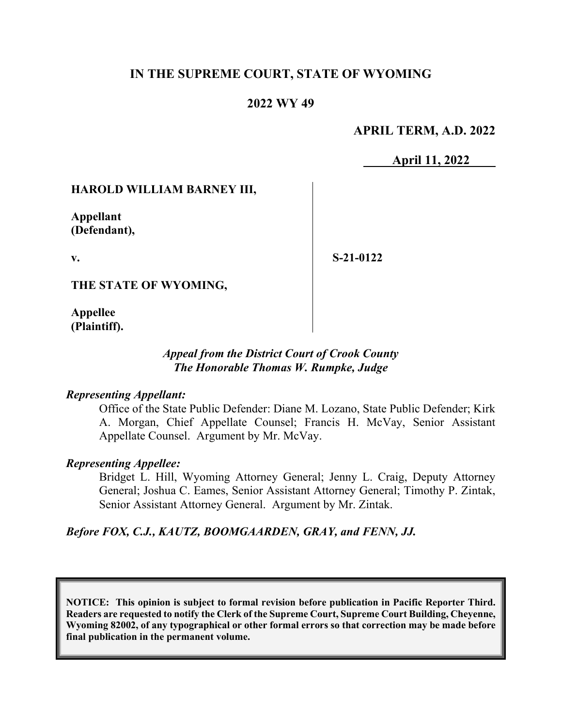## **IN THE SUPREME COURT, STATE OF WYOMING**

### **2022 WY 49**

### **APRIL TERM, A.D. 2022**

**April 11, 2022** 

#### **HAROLD WILLIAM BARNEY III,**

**Appellant (Defendant),** 

**v.** 

**S-21-0122** 

**THE STATE OF WYOMING,** 

**Appellee (Plaintiff).**

### *Appeal from the District Court of Crook County The Honorable Thomas W. Rumpke, Judge*

#### *Representing Appellant:*

Office of the State Public Defender: Diane M. Lozano, State Public Defender; Kirk A. Morgan, Chief Appellate Counsel; Francis H. McVay, Senior Assistant Appellate Counsel. Argument by Mr. McVay.

#### *Representing Appellee:*

Bridget L. Hill, Wyoming Attorney General; Jenny L. Craig, Deputy Attorney General; Joshua C. Eames, Senior Assistant Attorney General; Timothy P. Zintak, Senior Assistant Attorney General. Argument by Mr. Zintak.

#### *Before FOX, C.J., KAUTZ, BOOMGAARDEN, GRAY, and FENN, JJ.*

**NOTICE: This opinion is subject to formal revision before publication in Pacific Reporter Third. Readers are requested to notify the Clerk of the Supreme Court, Supreme Court Building, Cheyenne, Wyoming 82002, of any typographical or other formal errors so that correction may be made before final publication in the permanent volume.**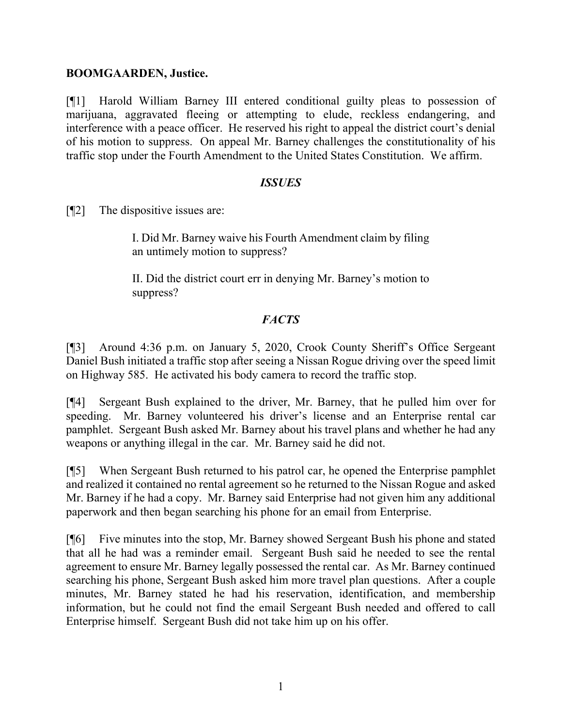#### **BOOMGAARDEN, Justice.**

[¶1] Harold William Barney III entered conditional guilty pleas to possession of marijuana, aggravated fleeing or attempting to elude, reckless endangering, and interference with a peace officer. He reserved his right to appeal the district court's denial of his motion to suppress. On appeal Mr. Barney challenges the constitutionality of his traffic stop under the Fourth Amendment to the United States Constitution. We affirm.

### *ISSUES*

[¶2] The dispositive issues are:

I. Did Mr. Barney waive his Fourth Amendment claim by filing an untimely motion to suppress?

II. Did the district court err in denying Mr. Barney's motion to suppress?

### *FACTS*

[¶3] Around 4:36 p.m. on January 5, 2020, Crook County Sheriff's Office Sergeant Daniel Bush initiated a traffic stop after seeing a Nissan Rogue driving over the speed limit on Highway 585. He activated his body camera to record the traffic stop.

[¶4] Sergeant Bush explained to the driver, Mr. Barney, that he pulled him over for speeding. Mr. Barney volunteered his driver's license and an Enterprise rental car pamphlet. Sergeant Bush asked Mr. Barney about his travel plans and whether he had any weapons or anything illegal in the car. Mr. Barney said he did not.

[¶5] When Sergeant Bush returned to his patrol car, he opened the Enterprise pamphlet and realized it contained no rental agreement so he returned to the Nissan Rogue and asked Mr. Barney if he had a copy. Mr. Barney said Enterprise had not given him any additional paperwork and then began searching his phone for an email from Enterprise.

[¶6] Five minutes into the stop, Mr. Barney showed Sergeant Bush his phone and stated that all he had was a reminder email. Sergeant Bush said he needed to see the rental agreement to ensure Mr. Barney legally possessed the rental car. As Mr. Barney continued searching his phone, Sergeant Bush asked him more travel plan questions. After a couple minutes, Mr. Barney stated he had his reservation, identification, and membership information, but he could not find the email Sergeant Bush needed and offered to call Enterprise himself. Sergeant Bush did not take him up on his offer.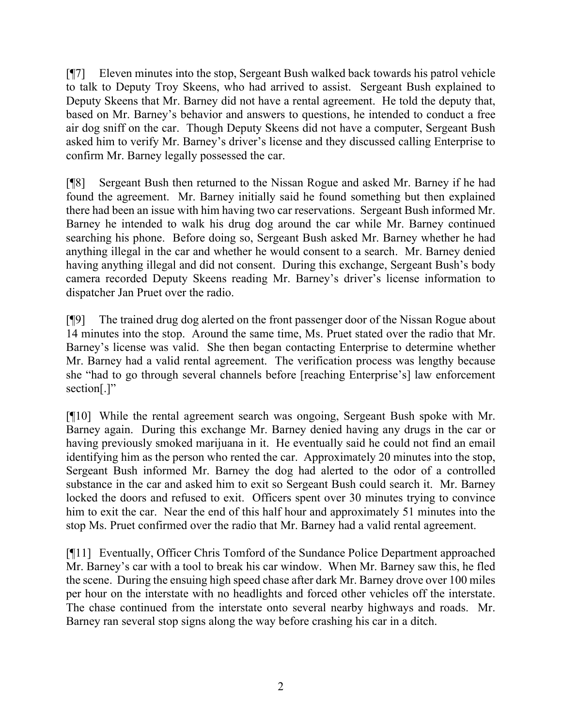[¶7] Eleven minutes into the stop, Sergeant Bush walked back towards his patrol vehicle to talk to Deputy Troy Skeens, who had arrived to assist. Sergeant Bush explained to Deputy Skeens that Mr. Barney did not have a rental agreement. He told the deputy that, based on Mr. Barney's behavior and answers to questions, he intended to conduct a free air dog sniff on the car. Though Deputy Skeens did not have a computer, Sergeant Bush asked him to verify Mr. Barney's driver's license and they discussed calling Enterprise to confirm Mr. Barney legally possessed the car.

[¶8] Sergeant Bush then returned to the Nissan Rogue and asked Mr. Barney if he had found the agreement. Mr. Barney initially said he found something but then explained there had been an issue with him having two car reservations. Sergeant Bush informed Mr. Barney he intended to walk his drug dog around the car while Mr. Barney continued searching his phone. Before doing so, Sergeant Bush asked Mr. Barney whether he had anything illegal in the car and whether he would consent to a search. Mr. Barney denied having anything illegal and did not consent. During this exchange, Sergeant Bush's body camera recorded Deputy Skeens reading Mr. Barney's driver's license information to dispatcher Jan Pruet over the radio.

[¶9] The trained drug dog alerted on the front passenger door of the Nissan Rogue about 14 minutes into the stop. Around the same time, Ms. Pruet stated over the radio that Mr. Barney's license was valid. She then began contacting Enterprise to determine whether Mr. Barney had a valid rental agreement. The verification process was lengthy because she "had to go through several channels before [reaching Enterprise's] law enforcement section[.]"

[¶10] While the rental agreement search was ongoing, Sergeant Bush spoke with Mr. Barney again. During this exchange Mr. Barney denied having any drugs in the car or having previously smoked marijuana in it. He eventually said he could not find an email identifying him as the person who rented the car. Approximately 20 minutes into the stop, Sergeant Bush informed Mr. Barney the dog had alerted to the odor of a controlled substance in the car and asked him to exit so Sergeant Bush could search it. Mr. Barney locked the doors and refused to exit. Officers spent over 30 minutes trying to convince him to exit the car. Near the end of this half hour and approximately 51 minutes into the stop Ms. Pruet confirmed over the radio that Mr. Barney had a valid rental agreement.

[¶11] Eventually, Officer Chris Tomford of the Sundance Police Department approached Mr. Barney's car with a tool to break his car window. When Mr. Barney saw this, he fled the scene. During the ensuing high speed chase after dark Mr. Barney drove over 100 miles per hour on the interstate with no headlights and forced other vehicles off the interstate. The chase continued from the interstate onto several nearby highways and roads. Mr. Barney ran several stop signs along the way before crashing his car in a ditch.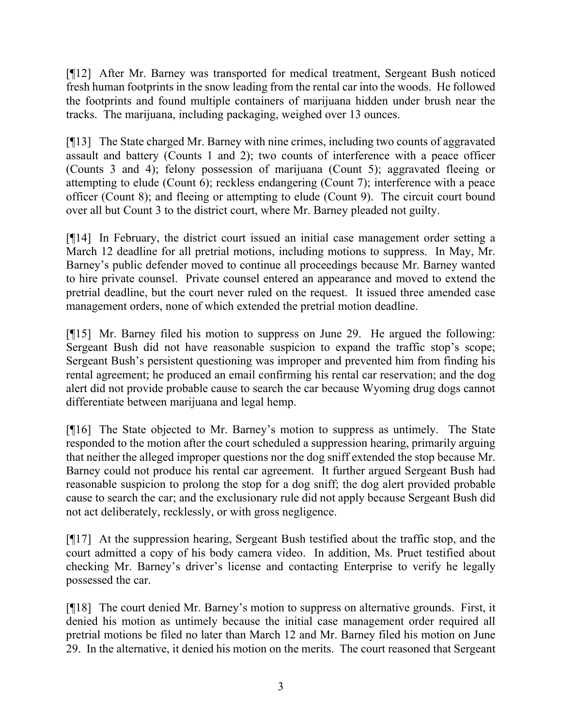[¶12] After Mr. Barney was transported for medical treatment, Sergeant Bush noticed fresh human footprints in the snow leading from the rental car into the woods. He followed the footprints and found multiple containers of marijuana hidden under brush near the tracks. The marijuana, including packaging, weighed over 13 ounces.

[¶13] The State charged Mr. Barney with nine crimes, including two counts of aggravated assault and battery (Counts 1 and 2); two counts of interference with a peace officer (Counts 3 and 4); felony possession of marijuana (Count 5); aggravated fleeing or attempting to elude (Count 6); reckless endangering (Count 7); interference with a peace officer (Count 8); and fleeing or attempting to elude (Count 9). The circuit court bound over all but Count 3 to the district court, where Mr. Barney pleaded not guilty.

[¶14] In February, the district court issued an initial case management order setting a March 12 deadline for all pretrial motions, including motions to suppress. In May, Mr. Barney's public defender moved to continue all proceedings because Mr. Barney wanted to hire private counsel. Private counsel entered an appearance and moved to extend the pretrial deadline, but the court never ruled on the request. It issued three amended case management orders, none of which extended the pretrial motion deadline.

[¶15] Mr. Barney filed his motion to suppress on June 29. He argued the following: Sergeant Bush did not have reasonable suspicion to expand the traffic stop's scope; Sergeant Bush's persistent questioning was improper and prevented him from finding his rental agreement; he produced an email confirming his rental car reservation; and the dog alert did not provide probable cause to search the car because Wyoming drug dogs cannot differentiate between marijuana and legal hemp.

[¶16] The State objected to Mr. Barney's motion to suppress as untimely. The State responded to the motion after the court scheduled a suppression hearing, primarily arguing that neither the alleged improper questions nor the dog sniff extended the stop because Mr. Barney could not produce his rental car agreement. It further argued Sergeant Bush had reasonable suspicion to prolong the stop for a dog sniff; the dog alert provided probable cause to search the car; and the exclusionary rule did not apply because Sergeant Bush did not act deliberately, recklessly, or with gross negligence.

[¶17] At the suppression hearing, Sergeant Bush testified about the traffic stop, and the court admitted a copy of his body camera video. In addition, Ms. Pruet testified about checking Mr. Barney's driver's license and contacting Enterprise to verify he legally possessed the car.

[¶18] The court denied Mr. Barney's motion to suppress on alternative grounds. First, it denied his motion as untimely because the initial case management order required all pretrial motions be filed no later than March 12 and Mr. Barney filed his motion on June 29. In the alternative, it denied his motion on the merits. The court reasoned that Sergeant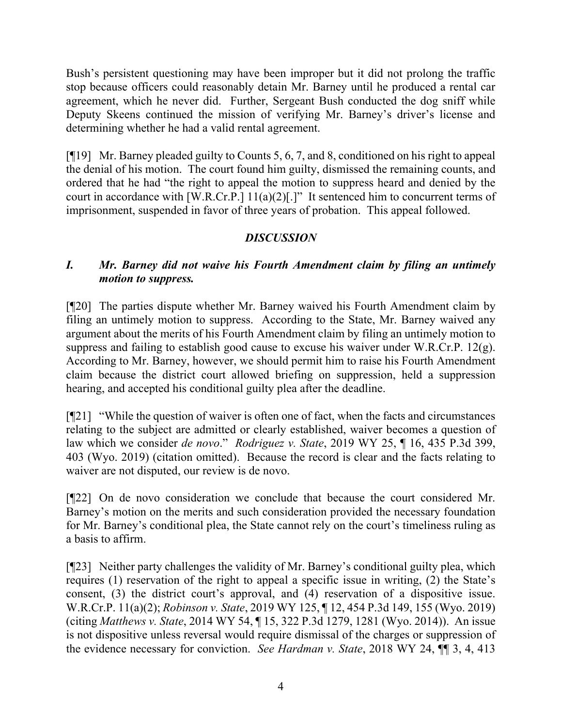Bush's persistent questioning may have been improper but it did not prolong the traffic stop because officers could reasonably detain Mr. Barney until he produced a rental car agreement, which he never did. Further, Sergeant Bush conducted the dog sniff while Deputy Skeens continued the mission of verifying Mr. Barney's driver's license and determining whether he had a valid rental agreement.

[¶19] Mr. Barney pleaded guilty to Counts 5, 6, 7, and 8, conditioned on his right to appeal the denial of his motion. The court found him guilty, dismissed the remaining counts, and ordered that he had "the right to appeal the motion to suppress heard and denied by the court in accordance with [W.R.Cr.P.]  $11(a)(2)[.]$ " It sentenced him to concurrent terms of imprisonment, suspended in favor of three years of probation. This appeal followed.

# *DISCUSSION*

## *I. Mr. Barney did not waive his Fourth Amendment claim by filing an untimely motion to suppress.*

[¶20] The parties dispute whether Mr. Barney waived his Fourth Amendment claim by filing an untimely motion to suppress. According to the State, Mr. Barney waived any argument about the merits of his Fourth Amendment claim by filing an untimely motion to suppress and failing to establish good cause to excuse his waiver under W.R.Cr.P. 12(g). According to Mr. Barney, however, we should permit him to raise his Fourth Amendment claim because the district court allowed briefing on suppression, held a suppression hearing, and accepted his conditional guilty plea after the deadline.

[¶21] "While the question of waiver is often one of fact, when the facts and circumstances relating to the subject are admitted or clearly established, waiver becomes a question of law which we consider *de novo*." *Rodriguez v. State*, 2019 WY 25, ¶ 16, 435 P.3d 399, 403 (Wyo. 2019) (citation omitted). Because the record is clear and the facts relating to waiver are not disputed, our review is de novo.

[¶22] On de novo consideration we conclude that because the court considered Mr. Barney's motion on the merits and such consideration provided the necessary foundation for Mr. Barney's conditional plea, the State cannot rely on the court's timeliness ruling as a basis to affirm.

[¶23] Neither party challenges the validity of Mr. Barney's conditional guilty plea, which requires (1) reservation of the right to appeal a specific issue in writing, (2) the State's consent, (3) the district court's approval, and (4) reservation of a dispositive issue. W.R.Cr.P. 11(a)(2); *Robinson v. State*, 2019 WY 125, ¶ 12, 454 P.3d 149, 155 (Wyo. 2019) (citing *Matthews v. State*, 2014 WY 54, ¶ 15, 322 P.3d 1279, 1281 (Wyo. 2014)). An issue is not dispositive unless reversal would require dismissal of the charges or suppression of the evidence necessary for conviction. *See Hardman v. State*, 2018 WY 24, ¶¶ 3, 4, 413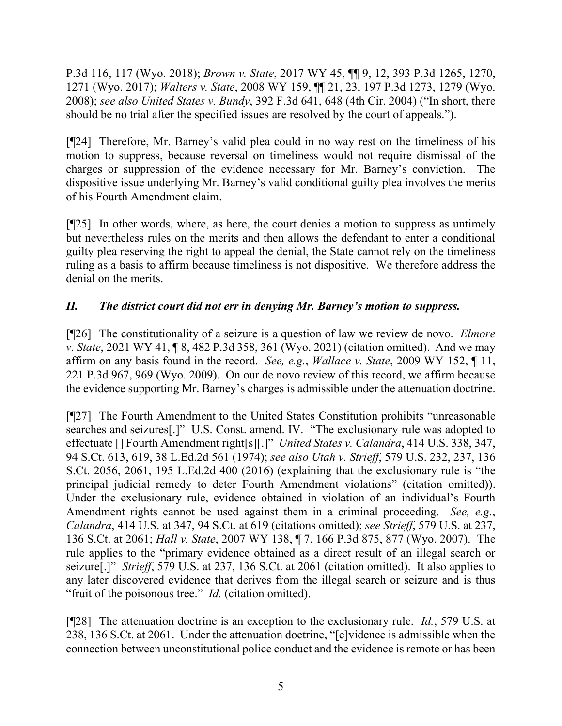P.3d 116, 117 (Wyo. 2018); *Brown v. State*, 2017 WY 45, ¶¶ 9, 12, 393 P.3d 1265, 1270, 1271 (Wyo. 2017); *Walters v. State*, 2008 WY 159, ¶¶ 21, 23, 197 P.3d 1273, 1279 (Wyo. 2008); *see also United States v. Bundy*, 392 F.3d 641, 648 (4th Cir. 2004) ("In short, there should be no trial after the specified issues are resolved by the court of appeals.").

[¶24] Therefore, Mr. Barney's valid plea could in no way rest on the timeliness of his motion to suppress, because reversal on timeliness would not require dismissal of the charges or suppression of the evidence necessary for Mr. Barney's conviction. The dispositive issue underlying Mr. Barney's valid conditional guilty plea involves the merits of his Fourth Amendment claim.

[¶25] In other words, where, as here, the court denies a motion to suppress as untimely but nevertheless rules on the merits and then allows the defendant to enter a conditional guilty plea reserving the right to appeal the denial, the State cannot rely on the timeliness ruling as a basis to affirm because timeliness is not dispositive. We therefore address the denial on the merits.

## *II. The district court did not err in denying Mr. Barney's motion to suppress.*

[¶26] The constitutionality of a seizure is a question of law we review de novo. *Elmore v. State*, 2021 WY 41, ¶ 8, 482 P.3d 358, 361 (Wyo. 2021) (citation omitted). And we may affirm on any basis found in the record. *See, e.g.*, *Wallace v. State*, 2009 WY 152, ¶ 11, 221 P.3d 967, 969 (Wyo. 2009). On our de novo review of this record, we affirm because the evidence supporting Mr. Barney's charges is admissible under the attenuation doctrine.

[¶27] The Fourth Amendment to the United States Constitution prohibits "unreasonable searches and seizures[.]" U.S. Const. amend. IV. "The exclusionary rule was adopted to effectuate [] Fourth Amendment right[s][.]" *United States v. Calandra*, 414 U.S. 338, 347, 94 S.Ct. 613, 619, 38 L.Ed.2d 561 (1974); *see also Utah v. Strieff*, 579 U.S. 232, 237, 136 S.Ct. 2056, 2061, 195 L.Ed.2d 400 (2016) (explaining that the exclusionary rule is "the principal judicial remedy to deter Fourth Amendment violations" (citation omitted)). Under the exclusionary rule, evidence obtained in violation of an individual's Fourth Amendment rights cannot be used against them in a criminal proceeding. *See, e.g.*, *Calandra*, 414 U.S. at 347, 94 S.Ct. at 619 (citations omitted); *see Strieff*, 579 U.S. at 237, 136 S.Ct. at 2061; *Hall v. State*, 2007 WY 138, ¶ 7, 166 P.3d 875, 877 (Wyo. 2007). The rule applies to the "primary evidence obtained as a direct result of an illegal search or seizure[.]" *Strieff*, 579 U.S. at 237, 136 S.Ct. at 2061 (citation omitted). It also applies to any later discovered evidence that derives from the illegal search or seizure and is thus "fruit of the poisonous tree." *Id.* (citation omitted).

[¶28] The attenuation doctrine is an exception to the exclusionary rule. *Id.*, 579 U.S. at 238, 136 S.Ct. at 2061. Under the attenuation doctrine, "[e]vidence is admissible when the connection between unconstitutional police conduct and the evidence is remote or has been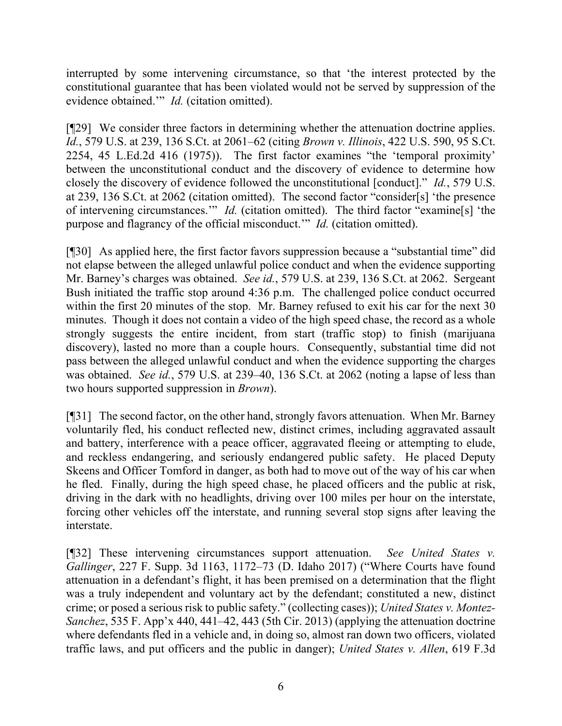interrupted by some intervening circumstance, so that 'the interest protected by the constitutional guarantee that has been violated would not be served by suppression of the evidence obtained.'" *Id.* (citation omitted).

[¶29] We consider three factors in determining whether the attenuation doctrine applies. *Id.*, 579 U.S. at 239, 136 S.Ct. at 2061–62 (citing *Brown v. Illinois*, 422 U.S. 590, 95 S.Ct. 2254, 45 L.Ed.2d 416 (1975)). The first factor examines "the 'temporal proximity' between the unconstitutional conduct and the discovery of evidence to determine how closely the discovery of evidence followed the unconstitutional [conduct]." *Id.*, 579 U.S. at 239, 136 S.Ct. at 2062 (citation omitted). The second factor "consider[s] 'the presence of intervening circumstances.'" *Id.* (citation omitted). The third factor "examine[s] 'the purpose and flagrancy of the official misconduct.'" *Id.* (citation omitted).

[¶30] As applied here, the first factor favors suppression because a "substantial time" did not elapse between the alleged unlawful police conduct and when the evidence supporting Mr. Barney's charges was obtained. *See id.*, 579 U.S. at 239, 136 S.Ct. at 2062. Sergeant Bush initiated the traffic stop around 4:36 p.m. The challenged police conduct occurred within the first 20 minutes of the stop. Mr. Barney refused to exit his car for the next 30 minutes. Though it does not contain a video of the high speed chase, the record as a whole strongly suggests the entire incident, from start (traffic stop) to finish (marijuana discovery), lasted no more than a couple hours. Consequently, substantial time did not pass between the alleged unlawful conduct and when the evidence supporting the charges was obtained. *See id.*, 579 U.S. at 239–40, 136 S.Ct. at 2062 (noting a lapse of less than two hours supported suppression in *Brown*).

[¶31] The second factor, on the other hand, strongly favors attenuation. When Mr. Barney voluntarily fled, his conduct reflected new, distinct crimes, including aggravated assault and battery, interference with a peace officer, aggravated fleeing or attempting to elude, and reckless endangering, and seriously endangered public safety. He placed Deputy Skeens and Officer Tomford in danger, as both had to move out of the way of his car when he fled. Finally, during the high speed chase, he placed officers and the public at risk, driving in the dark with no headlights, driving over 100 miles per hour on the interstate, forcing other vehicles off the interstate, and running several stop signs after leaving the interstate.

[¶32] These intervening circumstances support attenuation. *See United States v. Gallinger*, 227 F. Supp. 3d 1163, 1172–73 (D. Idaho 2017) ("Where Courts have found attenuation in a defendant's flight, it has been premised on a determination that the flight was a truly independent and voluntary act by the defendant; constituted a new, distinct crime; or posed a serious risk to public safety." (collecting cases)); *United States v. Montez-Sanchez*, 535 F. App'x 440, 441–42, 443 (5th Cir. 2013) (applying the attenuation doctrine where defendants fled in a vehicle and, in doing so, almost ran down two officers, violated traffic laws, and put officers and the public in danger); *United States v. Allen*, 619 F.3d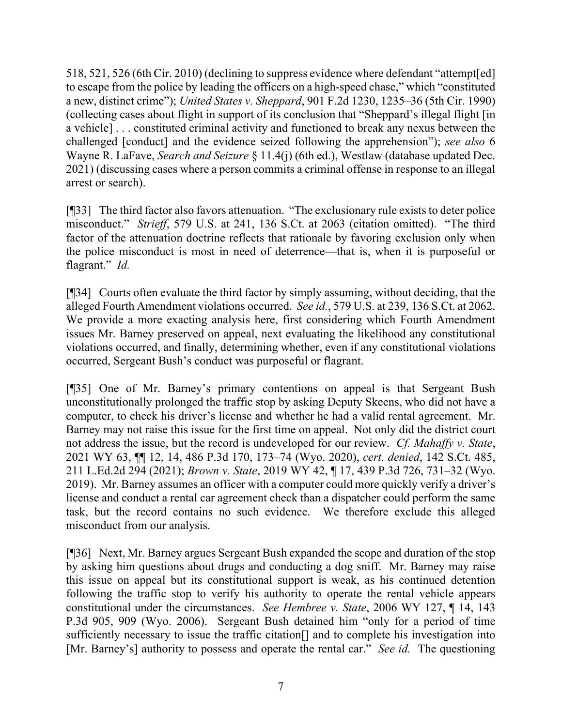518, 521, 526 (6th Cir. 2010) (declining to suppress evidence where defendant "attempt[ed] to escape from the police by leading the officers on a high-speed chase," which "constituted a new, distinct crime"); *United States v. Sheppard*, 901 F.2d 1230, 1235–36 (5th Cir. 1990) (collecting cases about flight in support of its conclusion that "Sheppard's illegal flight [in a vehicle] . . . constituted criminal activity and functioned to break any nexus between the challenged [conduct] and the evidence seized following the apprehension"); *see also* 6 Wayne R. LaFave, *Search and Seizure* § 11.4(j) (6th ed.), Westlaw (database updated Dec. 2021) (discussing cases where a person commits a criminal offense in response to an illegal arrest or search).

[¶33] The third factor also favors attenuation. "The exclusionary rule exists to deter police misconduct." *Strieff*, 579 U.S. at 241, 136 S.Ct. at 2063 (citation omitted). "The third factor of the attenuation doctrine reflects that rationale by favoring exclusion only when the police misconduct is most in need of deterrence—that is, when it is purposeful or flagrant." *Id.*

[¶34] Courts often evaluate the third factor by simply assuming, without deciding, that the alleged Fourth Amendment violations occurred. *See id.*, 579 U.S. at 239, 136 S.Ct. at 2062. We provide a more exacting analysis here, first considering which Fourth Amendment issues Mr. Barney preserved on appeal, next evaluating the likelihood any constitutional violations occurred, and finally, determining whether, even if any constitutional violations occurred, Sergeant Bush's conduct was purposeful or flagrant.

[¶35] One of Mr. Barney's primary contentions on appeal is that Sergeant Bush unconstitutionally prolonged the traffic stop by asking Deputy Skeens, who did not have a computer, to check his driver's license and whether he had a valid rental agreement. Mr. Barney may not raise this issue for the first time on appeal. Not only did the district court not address the issue, but the record is undeveloped for our review. *Cf. Mahaffy v. State*, 2021 WY 63, ¶¶ 12, 14, 486 P.3d 170, 173–74 (Wyo. 2020), *cert. denied*, 142 S.Ct. 485, 211 L.Ed.2d 294 (2021); *Brown v. State*, 2019 WY 42, ¶ 17, 439 P.3d 726, 731–32 (Wyo. 2019). Mr. Barney assumes an officer with a computer could more quickly verify a driver's license and conduct a rental car agreement check than a dispatcher could perform the same task, but the record contains no such evidence. We therefore exclude this alleged misconduct from our analysis.

[¶36] Next, Mr. Barney argues Sergeant Bush expanded the scope and duration of the stop by asking him questions about drugs and conducting a dog sniff. Mr. Barney may raise this issue on appeal but its constitutional support is weak, as his continued detention following the traffic stop to verify his authority to operate the rental vehicle appears constitutional under the circumstances. *See Hembree v. State*, 2006 WY 127, ¶ 14, 143 P.3d 905, 909 (Wyo. 2006). Sergeant Bush detained him "only for a period of time sufficiently necessary to issue the traffic citation[] and to complete his investigation into [Mr. Barney's] authority to possess and operate the rental car." *See id.* The questioning